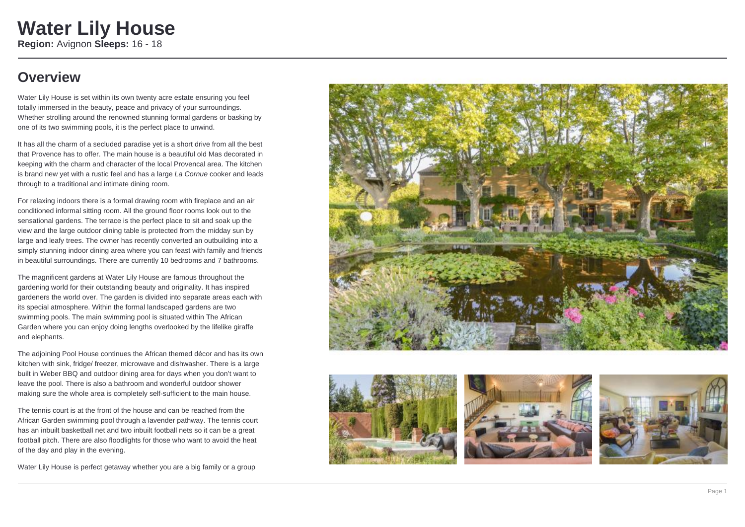### **Overview**

Water Lily House is set within its own twenty acre estate ensuring you feel totally immersed in the beauty, peace and privacy of your surroundings. Whether strolling around the renowned stunning formal gardens or basking by one of its two swimming pools, it is the perfect place to unwind.

It has all the charm of a secluded paradise yet is a short drive from all the best that Provence has to offer. The main house is a beautiful old Mas decorated in keeping with the charm and character of the local Provencal area. The kitchen is brand new yet with a rustic feel and has a large La Cornue cooker and leads through to a traditional and intimate dining room.

For relaxing indoors there is a formal drawing room with fireplace and an air conditioned informal sitting room. All the ground floor rooms look out to the sensational gardens. The terrace is the perfect place to sit and soak up the view and the large outdoor dining table is protected from the midday sun by large and leafy trees. The owner has recently converted an outbuilding into a simply stunning indoor dining area where you can feast with family and friends in beautiful surroundings. There are currently 10 bedrooms and 7 bathrooms.

The magnificent gardens at Water Lily House are famous throughout the gardening world for their outstanding beauty and originality. It has inspired gardeners the world over. The garden is divided into separate areas each with its special atmosphere. Within the formal landscaped gardens are two swimming pools. The main swimming pool is situated within The African Garden where you can enjoy doing lengths overlooked by the lifelike giraffe and elephants.

The adjoining Pool House continues the African themed décor and has its own kitchen with sink, fridge/ freezer, microwave and dishwasher. There is a large built in Weber BBQ and outdoor dining area for days when you don't want to leave the pool. There is also a bathroom and wonderful outdoor shower making sure the whole area is completely self-sufficient to the main house.

The tennis court is at the front of the house and can be reached from the African Garden swimming pool through a lavender pathway. The tennis court has an inbuilt basketball net and two inbuilt football nets so it can be a great football pitch. There are also floodlights for those who want to avoid the heat of the day and play in the evening.

Water Lily House is perfect getaway whether you are a big family or a group







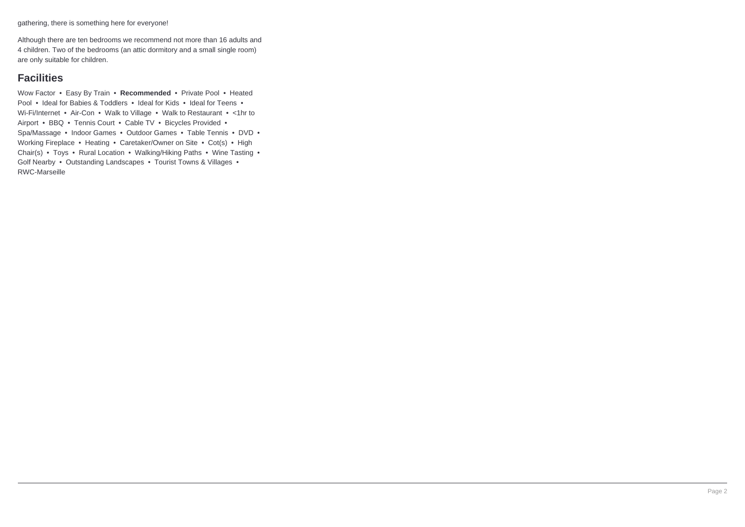gathering, there is something here for everyone!

Although there are ten bedrooms we recommend not more than 16 adults and 4 children. Two of the bedrooms (an attic dormitory and a small single room) are only suitable for children.

### **Facilities**

Wow Factor • Easy By Train • **Recommended** • Private Pool • Heated Pool • Ideal for Babies & Toddlers • Ideal for Kids • Ideal for Teens • Wi-Fi/Internet • Air-Con • Walk to Village • Walk to Restaurant • <1hr to Airport • BBQ • Tennis Court • Cable TV • Bicycles Provided • Spa/Massage • Indoor Games • Outdoor Games • Table Tennis • DVD • Working Fireplace • Heating • Caretaker/Owner on Site • Cot(s) • High Chair(s) • Toys • Rural Location • Walking/Hiking Paths • Wine Tasting • Golf Nearby • Outstanding Landscapes • Tourist Towns & Villages • RWC-Marseille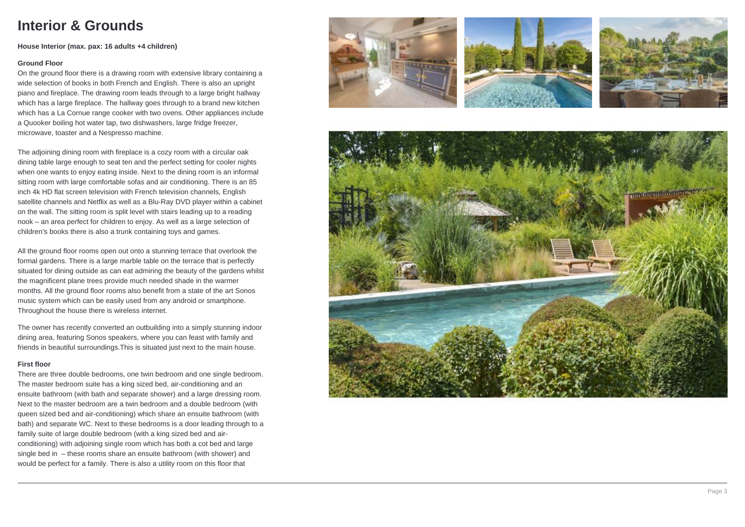### **Interior & Grounds**

#### **House Interior (max. pax: 16 adults +4 children)**

#### **Ground Floor**

On the ground floor there is a drawing room with extensive library containing a wide selection of books in both French and English. There is also an upright piano and fireplace. The drawing room leads through to a large bright hallway which has a large fireplace. The hallway goes through to a brand new kitchen which has a La Cornue range cooker with two ovens. Other appliances include a Quooker boiling hot water tap, two dishwashers, large fridge freezer, microwave, toaster and a Nespresso machine.

The adjoining dining room with fireplace is a cozy room with a circular oak dining table large enough to seat ten and the perfect setting for cooler nights when one wants to enjoy eating inside. Next to the dining room is an informal sitting room with large comfortable sofas and air conditioning. There is an 85 inch 4k HD flat screen television with French television channels, English satellite channels and Netflix as well as a Blu-Ray DVD player within a cabinet on the wall. The sitting room is split level with stairs leading up to a reading nook – an area perfect for children to enjoy. As well as a large selection of children's books there is also a trunk containing toys and games.

All the ground floor rooms open out onto a stunning terrace that overlook the formal gardens. There is a large marble table on the terrace that is perfectly situated for dining outside as can eat admiring the beauty of the gardens whilst the magnificent plane trees provide much needed shade in the warmer months. All the ground floor rooms also benefit from a state of the art Sonos music system which can be easily used from any android or smartphone. Throughout the house there is wireless internet.

The owner has recently converted an outbuilding into a simply stunning indoor dining area, featuring Sonos speakers, where you can feast with family and friends in beautiful surroundings.This is situated just next to the main house.

#### **First floor**

There are three double bedrooms, one twin bedroom and one single bedroom. The master bedroom suite has a king sized bed, air-conditioning and an ensuite bathroom (with bath and separate shower) and a large dressing room. Next to the master bedroom are a twin bedroom and a double bedroom (with queen sized bed and air-conditioning) which share an ensuite bathroom (with bath) and separate WC. Next to these bedrooms is a door leading through to a family suite of large double bedroom (with a king sized bed and airconditioning) with adjoining single room which has both a cot bed and large single bed in – these rooms share an ensuite bathroom (with shower) and would be perfect for a family. There is also a utility room on this floor that







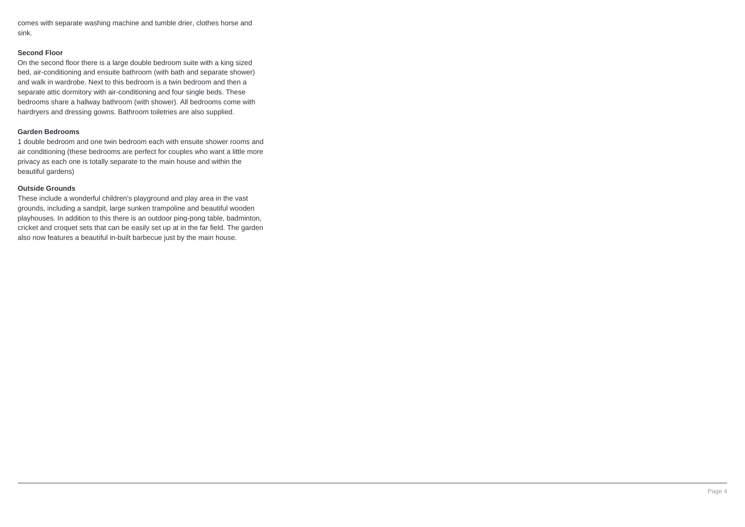comes with separate washing machine and tumble drier, clothes horse and sink.

#### **Second Floor**

On the second floor there is a large double bedroom suite with a king sized bed, air-conditioning and ensuite bathroom (with bath and separate shower) and walk in wardrobe. Next to this bedroom is a twin bedroom and then a separate attic dormitory with air-conditioning and four single beds. These bedrooms share a hallway bathroom (with shower). All bedrooms come with hairdryers and dressing gowns. Bathroom toiletries are also supplied.

#### **Garden Bedrooms**

1 double bedroom and one twin bedroom each with ensuite shower rooms and air conditioning (these bedrooms are perfect for couples who want a little more privacy as each one is totally separate to the main house and within the beautiful gardens)

#### **Outside Grounds**

These include a wonderful children's playground and play area in the vast grounds, including a sandpit, large sunken trampoline and beautiful wooden playhouses. In addition to this there is an outdoor ping-pong table, badminton, cricket and croquet sets that can be easily set up at in the far field. The garden also now features a beautiful in-built barbecue just by the main house.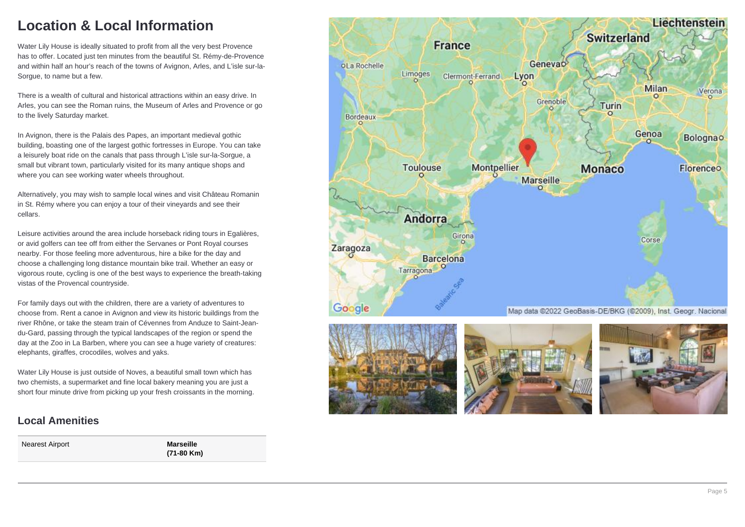## **Location & Local Information**

Water Lily House is ideally situated to profit from all the very best Provence has to offer. Located just ten minutes from the beautiful St. Rémy-de-Provence and within half an hour's reach of the towns of Avignon, Arles, and L'isle sur-la-Sorgue, to name but a few.

There is a wealth of cultural and historical attractions within an easy drive. In Arles, you can see the Roman ruins, the Museum of Arles and Provence or go to the lively Saturday market.

In Avignon, there is the Palais des Papes, an important medieval gothic building, boasting one of the largest gothic fortresses in Europe. You can take a leisurely boat ride on the canals that pass through L'isle sur-la-Sorgue, a small but vibrant town, particularly visited for its many antique shops and where you can see working water wheels throughout.

Alternatively, you may wish to sample local wines and visit Château Romanin in St. Rémy where you can enjoy a tour of their vineyards and see their cellars.

Leisure activities around the area include horseback riding tours in Egalières, or avid golfers can tee off from either the Servanes or Pont Royal courses nearby. For those feeling more adventurous, hire a bike for the day and choose a challenging long distance mountain bike trail. Whether an easy or vigorous route, cycling is one of the best ways to experience the breath-taking vistas of the Provencal countryside.

For family days out with the children, there are a variety of adventures to choose from. Rent a canoe in Avignon and view its historic buildings from the river Rhône, or take the steam train of Cévennes from Anduze to Saint-Jeandu-Gard, passing through the typical landscapes of the region or spend the day at the Zoo in La Barben, where you can see a huge variety of creatures: elephants, giraffes, crocodiles, wolves and yaks.

Water Lily House is just outside of Noves, a beautiful small town which has two chemists, a supermarket and fine local bakery meaning you are just a short four minute drive from picking up your fresh croissants in the morning.

### **Local Amenities**

Nearest Airport **Marseille**

**(71-80 Km)**







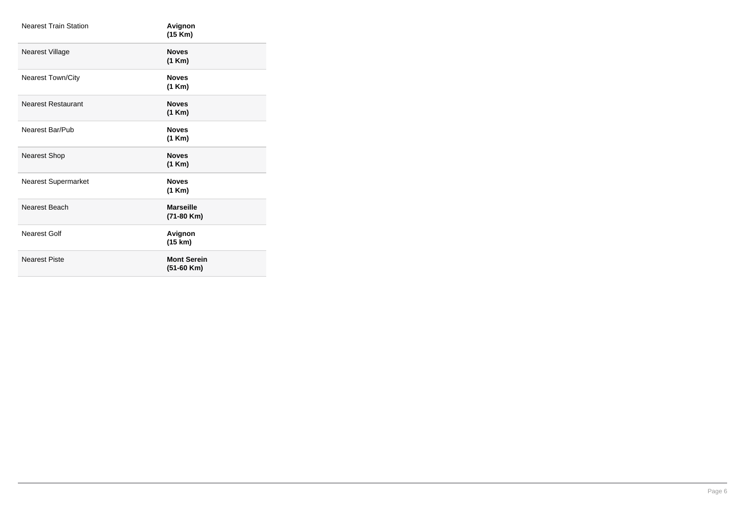| <b>Nearest Train Station</b> | Avignon<br>(15 Km)                 |
|------------------------------|------------------------------------|
| Nearest Village              | <b>Noves</b><br>(1 Km)             |
| <b>Nearest Town/City</b>     | <b>Noves</b><br>(1 Km)             |
| <b>Nearest Restaurant</b>    | <b>Noves</b><br>(1 Km)             |
| Nearest Bar/Pub              | <b>Noves</b><br>(1 Km)             |
| <b>Nearest Shop</b>          | <b>Noves</b><br>(1 Km)             |
| <b>Nearest Supermarket</b>   | <b>Noves</b><br>(1 Km)             |
| Nearest Beach                | <b>Marseille</b><br>(71-80 Km)     |
| <b>Nearest Golf</b>          | Avignon<br>(15 km)                 |
| <b>Nearest Piste</b>         | <b>Mont Serein</b><br>$(51-60$ Km) |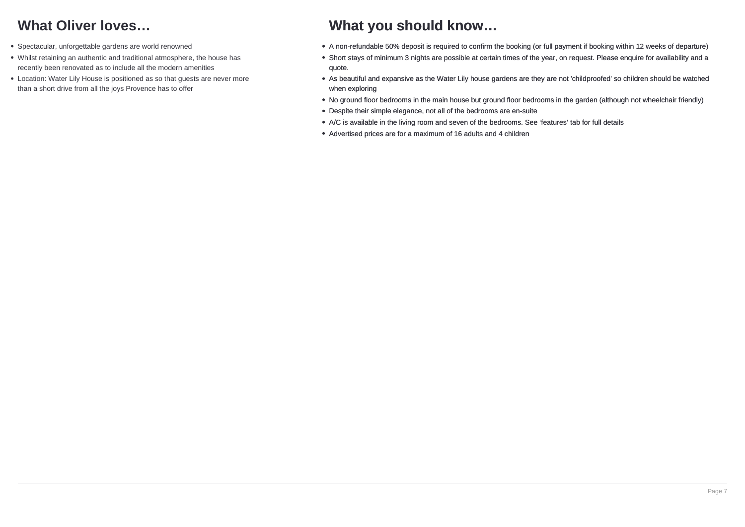## **What Oliver loves…**

- Spectacular, unforgettable gardens are world renowned
- Whilst retaining an authentic and traditional atmosphere, the house has recently been renovated as to include all the modern amenities
- Location: Water Lily House is positioned as so that guests are never more than a short drive from all the joys Provence has to offer

### **What you should know…**

- A non-refundable 50% deposit is required to confirm the booking (or full payment if booking within 12 weeks of departure)
- Short stays of minimum 3 nights are possible at certain times of the year, on request. Please enquire for availability and a quote.
- As beautiful and expansive as the Water Lily house gardens are they are not 'childproofed' so children should be watched when exploring
- No ground floor bedrooms in the main house but ground floor bedrooms in the garden (although not wheelchair friendly)
- Despite their simple elegance, not all of the bedrooms are en-suite
- A/C is available in the living room and seven of the bedrooms. See 'features' tab for full details
- Advertised prices are for a maximum of 16 adults and 4 children